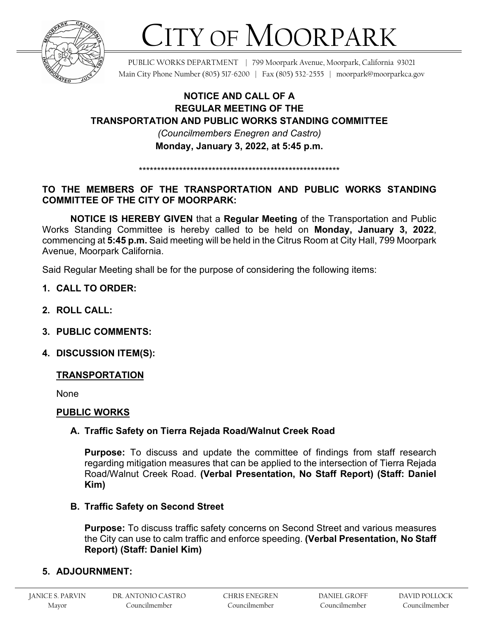

# CITY OF MOORPARK

PUBLIC WORKS DEPARTMENT | 799 Moorpark Avenue, Moorpark, California 93021 Main City Phone Number (805) 517-6200 | Fax (805) 532-2555 | moorpark@moorparkca.gov

## **NOTICE AND CALL OF A REGULAR MEETING OF THE TRANSPORTATION AND PUBLIC WORKS STANDING COMMITTEE**  *(Councilmembers Enegren and Castro)*  **Monday, January 3, 2022, at 5:45 p.m.**

### **TO THE MEMBERS OF THE TRANSPORTATION AND PUBLIC WORKS STANDING COMMITTEE OF THE CITY OF MOORPARK:**

\*\*\*\*\*\*\*\*\*\*\*\*\*\*\*\*\*\*\*\*\*\*\*\*\*\*\*\*\*\*\*\*\*\*\*\*\*\*\*\*\*\*\*\*\*\*\*\*\*\*\*\*\*\*\*

**NOTICE IS HEREBY GIVEN** that a **Regular Meeting** of the Transportation and Public Works Standing Committee is hereby called to be held on **Monday, January 3, 2022**, commencing at **5:45 p.m.** Said meeting will be held in the Citrus Room at City Hall, 799 Moorpark Avenue, Moorpark California.

Said Regular Meeting shall be for the purpose of considering the following items:

- **1. CALL TO ORDER:**
- **2. ROLL CALL:**
- **3. PUBLIC COMMENTS:**
- **4. DISCUSSION ITEM(S):**

#### **TRANSPORTATION**

None

#### **PUBLIC WORKS**

#### **A. Traffic Safety on Tierra Rejada Road/Walnut Creek Road**

**Purpose:** To discuss and update the committee of findings from staff research regarding mitigation measures that can be applied to the intersection of Tierra Rejada Road/Walnut Creek Road. **(Verbal Presentation, No Staff Report) (Staff: Daniel Kim)**

#### **B. Traffic Safety on Second Street**

**Purpose:** To discuss traffic safety concerns on Second Street and various measures the City can use to calm traffic and enforce speeding. **(Verbal Presentation, No Staff Report) (Staff: Daniel Kim)**

## **5. ADJOURNMENT:**